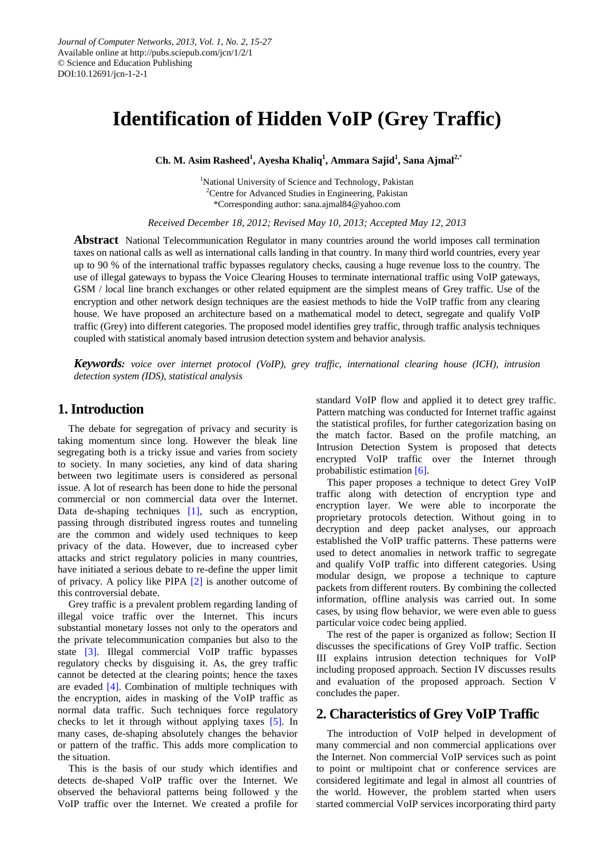# **Identification of Hidden VoIP (Grey Traffic)**

**Ch. M. Asim Rasheed<sup>1</sup> , Ayesha Khaliq<sup>1</sup> , Ammara Sajid<sup>1</sup> , Sana Ajmal<sup>2</sup>,\***

<sup>1</sup>National University of Science and Technology, Pakistan <sup>2</sup>Centre for Advanced Studies in Engineering, Pakistan \*Corresponding author: sana.ajmal84@yahoo.com

*Received December 18, 2012; Revised May 10, 2013; Accepted May 12, 2013* 

**Abstract** National Telecommunication Regulator in many countries around the world imposes call termination taxes on national calls as well as international calls landing in that country. In many third world countries, every year up to 90 % of the international traffic bypasses regulatory checks, causing a huge revenue loss to the country. The use of illegal gateways to bypass the Voice Clearing Houses to terminate international traffic using VoIP gateways, GSM / local line branch exchanges or other related equipment are the simplest means of Grey traffic. Use of the encryption and other network design techniques are the easiest methods to hide the VoIP traffic from any clearing house. We have proposed an architecture based on a mathematical model to detect, segregate and qualify VoIP traffic (Grey) into different categories. The proposed model identifies grey traffic, through traffic analysis techniques coupled with statistical anomaly based intrusion detection system and behavior analysis.

*Keywords: voice over internet protocol (VoIP), grey traffic, international clearing house (ICH), intrusion detection system (IDS), statistical analysis* 

# **1.Introduction**

The debate for segregation of privacy and security is taking momentum since long. However the bleak line segregating both is a tricky issue and varies from society to society. In many societies, any kind of data sharing between two legitimate users is considered as personal issue. A lot of research has been done to hide the personal commercial or non commercial data over the Internet. Data de-shaping techniques [\[1\],](#page-11-0) such as encryption, passing through distributed ingress routes and tunneling are the common and widely used techniques to keep privacy of the data. However, due to increased cyber attacks and strict regulatory policies in many countries, have initiated a serious debate to re-define the upper limit of privacy. A policy like PIPA [\[2\]](#page-11-1) is another outcome of this controversial debate.

Grey traffic is a prevalent problem regarding landing of illegal voice traffic over the Internet. This incurs substantial monetary losses not only to the operators and the private telecommunication companies but also to the state [\[3\].](#page-11-2) Illegal commercial VoIP traffic bypasses regulatory checks by disguising it. As, the grey traffic cannot be detected at the clearing points; hence the taxes are evaded [\[4\].](#page-11-3) Combination of multiple techniques with the encryption, aides in masking of the VoIP traffic as normal data traffic. Such techniques force regulatory checks to let it through without applying taxes [\[5\].](#page-11-4) In many cases, de-shaping absolutely changes the behavior or pattern of the traffic. This adds more complication to the situation.

This is the basis of our study which identifies and detects de-shaped VoIP traffic over the Internet. We observed the behavioral patterns being followed y the VoIP traffic over the Internet. We created a profile for standard VoIP flow and applied it to detect grey traffic. Pattern matching was conducted for Internet traffic against the statistical profiles, for further categorization basing on the match factor. Based on the profile matching, an Intrusion Detection System is proposed that detects encrypted VoIP traffic over the Internet through probabilistic estimation [\[6\].](#page-11-5)

This paper proposes a technique to detect Grey VoIP traffic along with detection of encryption type and encryption layer. We were able to incorporate the proprietary protocols detection. Without going in to decryption and deep packet analyses, our approach established the VoIP traffic patterns. These patterns were used to detect anomalies in network traffic to segregate and qualify VoIP traffic into different categories. Using modular design, we propose a technique to capture packets from different routers. By combining the collected information, offline analysis was carried out. In some cases, by using flow behavior, we were even able to guess particular voice codec being applied.

The rest of the paper is organized as follow; Section II discusses the specifications of Grey VoIP traffic. Section III explains intrusion detection techniques for VoIP including proposed approach. Section IV discusses results and evaluation of the proposed approach. Section V concludes the paper.

# **2. Characteristics of Grey VoIP Traffic**

The introduction of VoIP helped in development of many commercial and non commercial applications over the Internet. Non commercial VoIP services such as point to point or multipoint chat or conference services are considered legitimate and legal in almost all countries of the world. However, the problem started when users started commercial VoIP services incorporating third party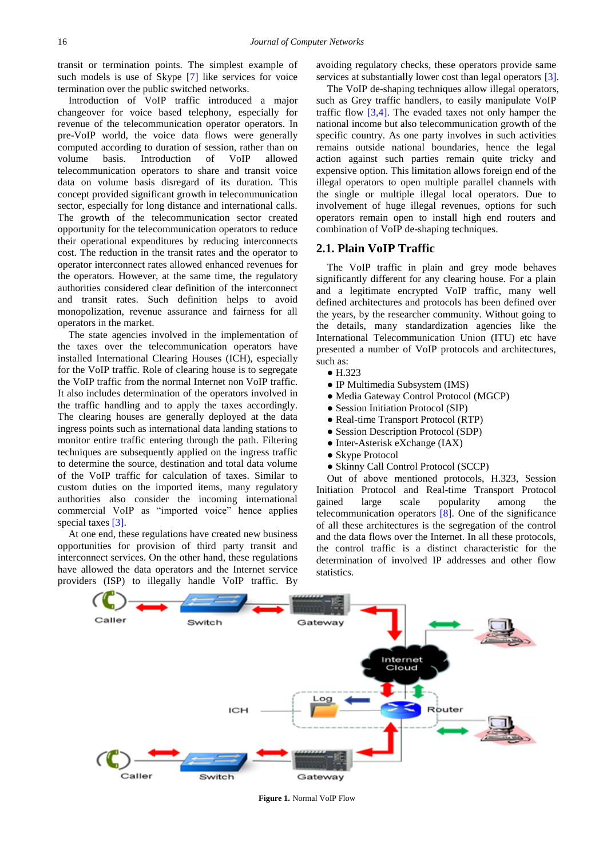transit or termination points. The simplest example of such models is use of Skype [\[7\]](#page-11-6) like services for voice termination over the public switched networks.

Introduction of VoIP traffic introduced a major changeover for voice based telephony, especially for revenue of the telecommunication operator operators. In pre-VoIP world, the voice data flows were generally computed according to duration of session, rather than on volume basis. Introduction of VoIP allowed telecommunication operators to share and transit voice data on volume basis disregard of its duration. This concept provided significant growth in telecommunication sector, especially for long distance and international calls. The growth of the telecommunication sector created opportunity for the telecommunication operators to reduce their operational expenditures by reducing interconnects cost. The reduction in the transit rates and the operator to operator interconnect rates allowed enhanced revenues for the operators. However, at the same time, the regulatory authorities considered clear definition of the interconnect and transit rates. Such definition helps to avoid monopolization, revenue assurance and fairness for all operators in the market.

The state agencies involved in the implementation of the taxes over the telecommunication operators have installed International Clearing Houses (ICH), especially for the VoIP traffic. Role of clearing house is to segregate the VoIP traffic from the normal Internet non VoIP traffic. It also includes determination of the operators involved in the traffic handling and to apply the taxes accordingly. The clearing houses are generally deployed at the data ingress points such as international data landing stations to monitor entire traffic entering through the path. Filtering techniques are subsequently applied on the ingress traffic to determine the source, destination and total data volume of the VoIP traffic for calculation of taxes. Similar to custom duties on the imported items, many regulatory authorities also consider the incoming international commercial VoIP as "imported voice" hence applies special taxes [\[3\].](#page-11-2)

At one end, these regulations have created new business opportunities for provision of third party transit and interconnect services. On the other hand, these regulations have allowed the data operators and the Internet service providers (ISP) to illegally handle VoIP traffic. By avoiding regulatory checks, these operators provide same services at substantially lower cost than legal operators [\[3\].](#page-11-2)

The VoIP de-shaping techniques allow illegal operators, such as Grey traffic handlers, to easily manipulate VoIP traffic flow  $[3,4]$ . The evaded taxes not only hamper the national income but also telecommunication growth of the specific country. As one party involves in such activities remains outside national boundaries, hence the legal action against such parties remain quite tricky and expensive option. This limitation allows foreign end of the illegal operators to open multiple parallel channels with the single or multiple illegal local operators. Due to involvement of huge illegal revenues, options for such operators remain open to install high end routers and combination of VoIP de-shaping techniques.

#### **2.1. Plain VoIP Traffic**

The VoIP traffic in plain and grey mode behaves significantly different for any clearing house. For a plain and a legitimate encrypted VoIP traffic, many well defined architectures and protocols has been defined over the years, by the researcher community. Without going to the details, many standardization agencies like the International Telecommunication Union (ITU) etc have presented a number of VoIP protocols and architectures, such as:

- H.323
- IP Multimedia Subsystem (IMS)
- Media Gateway Control Protocol (MGCP)
- Session Initiation Protocol (SIP)
- Real-time Transport Protocol (RTP)
- Session Description Protocol (SDP)
- Inter-Asterisk eXchange (IAX)
- Skype Protocol
- Skinny Call Control Protocol (SCCP)

Out of above mentioned protocols, H.323, Session Initiation Protocol and Real-time Transport Protocol gained large scale popularity among the telecommunication operators [\[8\].](#page-11-7) One of the significance of all these architectures is the segregation of the control and the data flows over the Internet. In all these protocols, the control traffic is a distinct characteristic for the determination of involved IP addresses and other flow statistics.

<span id="page-1-0"></span>

**Figure 1.** Normal VoIP Flow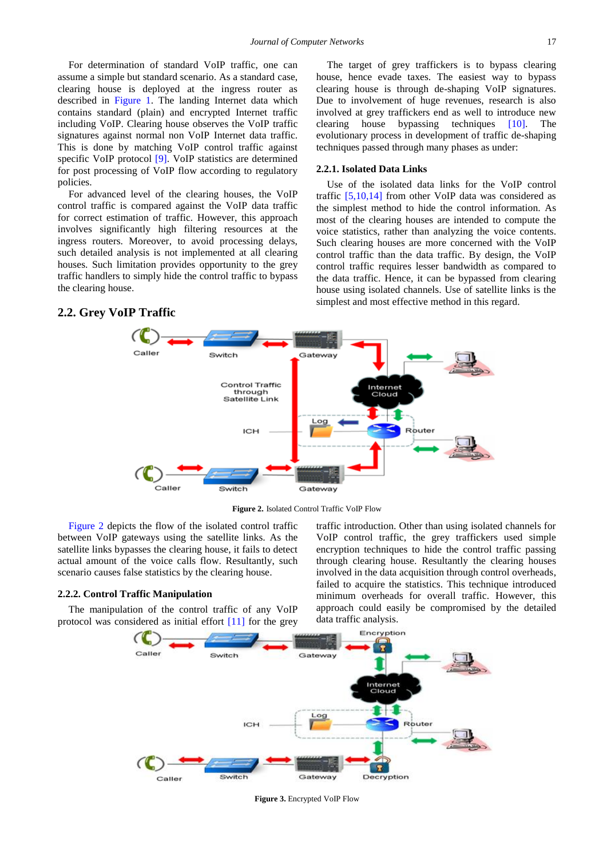For determination of standard VoIP traffic, one can assume a simple but standard scenario. As a standard case, clearing house is deployed at the ingress router as described in [Figure 1.](#page-1-0) The landing Internet data which contains standard (plain) and encrypted Internet traffic including VoIP. Clearing house observes the VoIP traffic signatures against normal non VoIP Internet data traffic. This is done by matching VoIP control traffic against specific VoIP protocol [\[9\].](#page-11-8) VoIP statistics are determined for post processing of VoIP flow according to regulatory policies.

For advanced level of the clearing houses, the VoIP control traffic is compared against the VoIP data traffic for correct estimation of traffic. However, this approach involves significantly high filtering resources at the ingress routers. Moreover, to avoid processing delays, such detailed analysis is not implemented at all clearing houses. Such limitation provides opportunity to the grey traffic handlers to simply hide the control traffic to bypass the clearing house.

The target of grey traffickers is to bypass clearing house, hence evade taxes. The easiest way to bypass clearing house is through de-shaping VoIP signatures. Due to involvement of huge revenues, research is also involved at grey traffickers end as well to introduce new clearing house bypassing techniques [\[10\].](#page-11-9) The evolutionary process in development of traffic de-shaping techniques passed through many phases as under:

#### **2.2.1. Isolated Data Links**

Use of the isolated data links for the VoIP control traffic [\[5,10,14\]](#page-11-4) from other VoIP data was considered as the simplest method to hide the control information. As most of the clearing houses are intended to compute the voice statistics, rather than analyzing the voice contents. Such clearing houses are more concerned with the VoIP control traffic than the data traffic. By design, the VoIP control traffic requires lesser bandwidth as compared to the data traffic. Hence, it can be bypassed from clearing house using isolated channels. Use of satellite links is the simplest and most effective method in this regard.

# Switch Gateway Control Traffic through Satellite Link Log ICH Router Caller Switch Gateway

**Figure 2.** Isolated Control Traffic VoIP Flow

[Figure 2](#page-2-0) depicts the flow of the isolated control traffic between VoIP gateways using the satellite links. As the satellite links bypasses the clearing house, it fails to detect actual amount of the voice calls flow. Resultantly, such scenario causes false statistics by the clearing house.

#### **2.2.2. Control Traffic Manipulation**

<span id="page-2-0"></span>**2.2. Grey VoIP Traffic**

<span id="page-2-1"></span>The manipulation of the control traffic of any VoIP protocol was considered as initial effort [\[11\]](#page-11-10) for the grey traffic introduction. Other than using isolated channels for VoIP control traffic, the grey traffickers used simple encryption techniques to hide the control traffic passing through clearing house. Resultantly the clearing houses involved in the data acquisition through control overheads, failed to acquire the statistics. This technique introduced minimum overheads for overall traffic. However, this approach could easily be compromised by the detailed data traffic analysis.



**Figure 3.** Encrypted VoIP Flow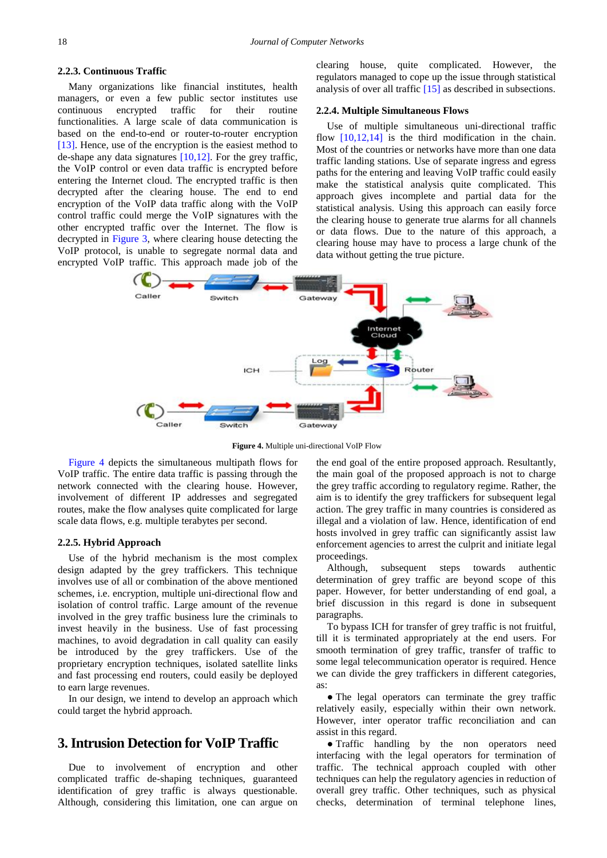#### **2.2.3. Continuous Traffic**

Many organizations like financial institutes, health managers, or even a few public sector institutes use continuous encrypted traffic for their routine functionalities. A large scale of data communication is based on the end-to-end or router-to-router encryption [\[13\].](#page-11-11) Hence, use of the encryption is the easiest method to de-shape any data signatures [\[10,12\].](#page-11-9) For the grey traffic, the VoIP control or even data traffic is encrypted before entering the Internet cloud. The encrypted traffic is then decrypted after the clearing house. The end to end encryption of the VoIP data traffic along with the VoIP control traffic could merge the VoIP signatures with the other encrypted traffic over the Internet. The flow is decrypted in [Figure 3,](#page-2-1) where clearing house detecting the VoIP protocol, is unable to segregate normal data and encrypted VoIP traffic. This approach made job of the

clearing house, quite complicated. However, the regulators managed to cope up the issue through statistical analysis of over all traffic [\[15\]](#page-11-12) as described in subsections.

#### **2.2.4. Multiple Simultaneous Flows**

Use of multiple simultaneous uni-directional traffic flow  $[10,12,14]$  is the third modification in the chain. Most of the countries or networks have more than one data traffic landing stations. Use of separate ingress and egress paths for the entering and leaving VoIP traffic could easily make the statistical analysis quite complicated. This approach gives incomplete and partial data for the statistical analysis. Using this approach can easily force the clearing house to generate true alarms for all channels or data flows. Due to the nature of this approach, a clearing house may have to process a large chunk of the data without getting the true picture.

<span id="page-3-0"></span>

**Figure 4.** Multiple uni-directional VoIP Flow

[Figure 4](#page-3-0) depicts the simultaneous multipath flows for VoIP traffic. The entire data traffic is passing through the network connected with the clearing house. However, involvement of different IP addresses and segregated routes, make the flow analyses quite complicated for large scale data flows, e.g. multiple terabytes per second.

#### **2.2.5. Hybrid Approach**

Use of the hybrid mechanism is the most complex design adapted by the grey traffickers. This technique involves use of all or combination of the above mentioned schemes, i.e. encryption, multiple uni-directional flow and isolation of control traffic. Large amount of the revenue involved in the grey traffic business lure the criminals to invest heavily in the business. Use of fast processing machines, to avoid degradation in call quality can easily be introduced by the grey traffickers. Use of the proprietary encryption techniques, isolated satellite links and fast processing end routers, could easily be deployed to earn large revenues.

In our design, we intend to develop an approach which could target the hybrid approach.

# **3. Intrusion Detection for VoIP Traffic**

Due to involvement of encryption and other complicated traffic de-shaping techniques, guaranteed identification of grey traffic is always questionable. Although, considering this limitation, one can argue on the end goal of the entire proposed approach. Resultantly, the main goal of the proposed approach is not to charge the grey traffic according to regulatory regime. Rather, the aim is to identify the grey traffickers for subsequent legal action. The grey traffic in many countries is considered as illegal and a violation of law. Hence, identification of end hosts involved in grey traffic can significantly assist law enforcement agencies to arrest the culprit and initiate legal proceedings.

Although, subsequent steps towards authentic determination of grey traffic are beyond scope of this paper. However, for better understanding of end goal, a brief discussion in this regard is done in subsequent paragraphs.

To bypass ICH for transfer of grey traffic is not fruitful, till it is terminated appropriately at the end users. For smooth termination of grey traffic, transfer of traffic to some legal telecommunication operator is required. Hence we can divide the grey traffickers in different categories, as:

• The legal operators can terminate the grey traffic relatively easily, especially within their own network. However, inter operator traffic reconciliation and can assist in this regard.

● Traffic handling by the non operators need interfacing with the legal operators for termination of traffic. The technical approach coupled with other techniques can help the regulatory agencies in reduction of overall grey traffic. Other techniques, such as physical checks, determination of terminal telephone lines,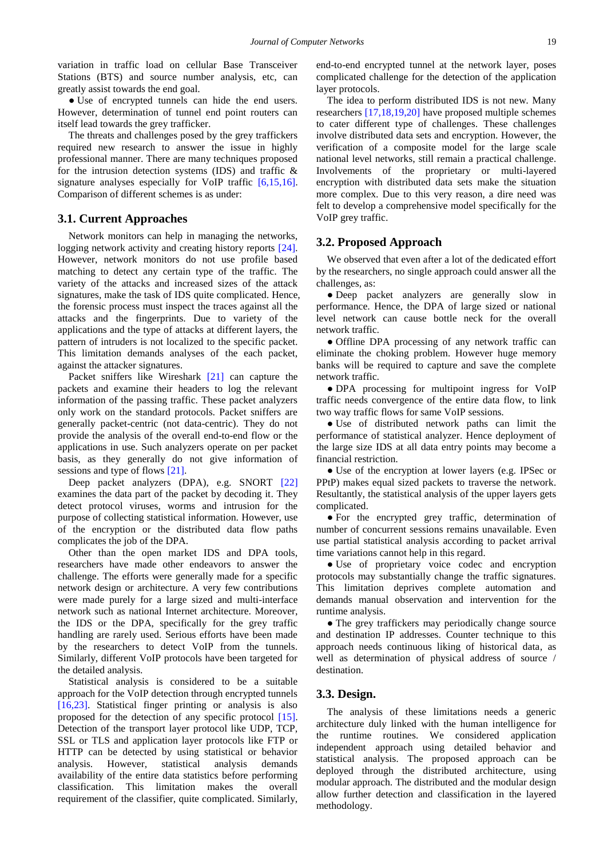variation in traffic load on cellular Base Transceiver Stations (BTS) and source number analysis, etc, can greatly assist towards the end goal.

• Use of encrypted tunnels can hide the end users. However, determination of tunnel end point routers can itself lead towards the grey trafficker.

The threats and challenges posed by the grey traffickers required new research to answer the issue in highly professional manner. There are many techniques proposed for the intrusion detection systems (IDS) and traffic  $\&$ signature analyses especially for VoIP traffic [\[6,15,16\].](#page-11-5) Comparison of different schemes is as under:

#### **3.1. Current Approaches**

Network monitors can help in managing the networks, logging network activity and creating history reports [\[24\].](#page-11-13) However, network monitors do not use profile based matching to detect any certain type of the traffic. The variety of the attacks and increased sizes of the attack signatures, make the task of IDS quite complicated. Hence, the forensic process must inspect the traces against all the attacks and the fingerprints. Due to variety of the applications and the type of attacks at different layers, the pattern of intruders is not localized to the specific packet. This limitation demands analyses of the each packet, against the attacker signatures.

Packet sniffers like Wireshark [\[21\]](#page-11-14) can capture the packets and examine their headers to log the relevant information of the passing traffic. These packet analyzers only work on the standard protocols. Packet sniffers are generally packet-centric (not data-centric). They do not provide the analysis of the overall end-to-end flow or the applications in use. Such analyzers operate on per packet basis, as they generally do not give information of sessions and type of flows [\[21\].](#page-11-14)

Deep packet analyzers (DPA), e.g. SNORT [\[22\]](#page-11-15) examines the data part of the packet by decoding it. They detect protocol viruses, worms and intrusion for the purpose of collecting statistical information. However, use of the encryption or the distributed data flow paths complicates the job of the DPA.

Other than the open market IDS and DPA tools, researchers have made other endeavors to answer the challenge. The efforts were generally made for a specific network design or architecture. A very few contributions were made purely for a large sized and multi-interface network such as national Internet architecture. Moreover, the IDS or the DPA, specifically for the grey traffic handling are rarely used. Serious efforts have been made by the researchers to detect VoIP from the tunnels. Similarly, different VoIP protocols have been targeted for the detailed analysis.

Statistical analysis is considered to be a suitable approach for the VoIP detection through encrypted tunnels [\[16,23\].](#page-11-16) Statistical finger printing or analysis is also proposed for the detection of any specific protocol [\[15\].](#page-11-12) Detection of the transport layer protocol like UDP, TCP, SSL or TLS and application layer protocols like FTP or HTTP can be detected by using statistical or behavior analysis. However, statistical analysis demands availability of the entire data statistics before performing classification. This limitation makes the overall requirement of the classifier, quite complicated. Similarly, end-to-end encrypted tunnel at the network layer, poses complicated challenge for the detection of the application layer protocols.

The idea to perform distributed IDS is not new. Many researchers [\[17,18,19,20\]](#page-11-17) have proposed multiple schemes to cater different type of challenges. These challenges involve distributed data sets and encryption. However, the verification of a composite model for the large scale national level networks, still remain a practical challenge. Involvements of the proprietary or multi-layered encryption with distributed data sets make the situation more complex. Due to this very reason, a dire need was felt to develop a comprehensive model specifically for the VoIP grey traffic.

#### **3.2. Proposed Approach**

We observed that even after a lot of the dedicated effort by the researchers, no single approach could answer all the challenges, as:

● Deep packet analyzers are generally slow in performance. Hence, the DPA of large sized or national level network can cause bottle neck for the overall network traffic.

• Offline DPA processing of any network traffic can eliminate the choking problem. However huge memory banks will be required to capture and save the complete network traffic.

● DPA processing for multipoint ingress for VoIP traffic needs convergence of the entire data flow, to link two way traffic flows for same VoIP sessions.

● Use of distributed network paths can limit the performance of statistical analyzer. Hence deployment of the large size IDS at all data entry points may become a financial restriction.

● Use of the encryption at lower layers (e.g. IPSec or PPtP) makes equal sized packets to traverse the network. Resultantly, the statistical analysis of the upper layers gets complicated.

● For the encrypted grey traffic, determination of number of concurrent sessions remains unavailable. Even use partial statistical analysis according to packet arrival time variations cannot help in this regard.

● Use of proprietary voice codec and encryption protocols may substantially change the traffic signatures. This limitation deprives complete automation and demands manual observation and intervention for the runtime analysis.

• The grey traffickers may periodically change source and destination IP addresses. Counter technique to this approach needs continuous liking of historical data, as well as determination of physical address of source / destination.

#### **3.3. Design.**

The analysis of these limitations needs a generic architecture duly linked with the human intelligence for the runtime routines. We considered application independent approach using detailed behavior and statistical analysis. The proposed approach can be deployed through the distributed architecture, using modular approach. The distributed and the modular design allow further detection and classification in the layered methodology.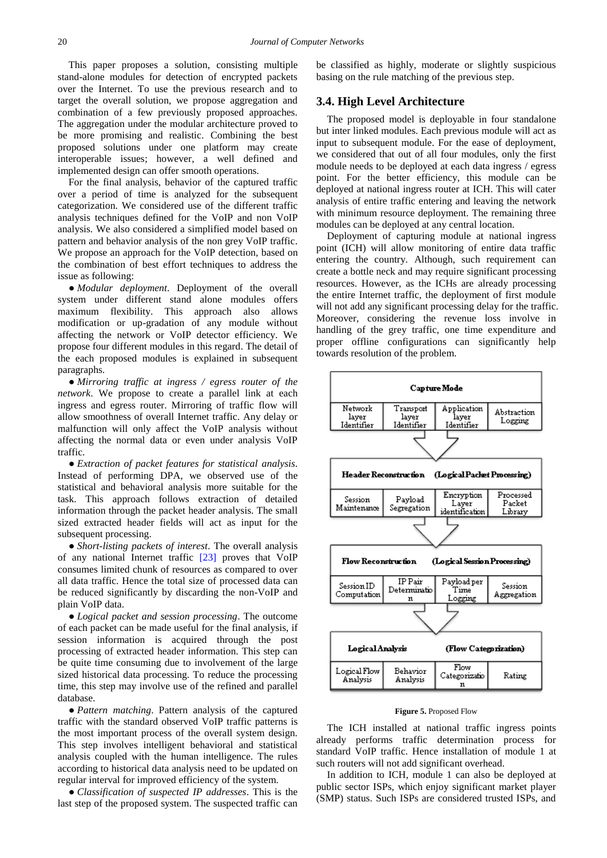This paper proposes a solution, consisting multiple stand-alone modules for detection of encrypted packets over the Internet. To use the previous research and to target the overall solution, we propose aggregation and combination of a few previously proposed approaches. The aggregation under the modular architecture proved to be more promising and realistic. Combining the best proposed solutions under one platform may create interoperable issues; however, a well defined and implemented design can offer smooth operations.

For the final analysis, behavior of the captured traffic over a period of time is analyzed for the subsequent categorization. We considered use of the different traffic analysis techniques defined for the VoIP and non VoIP analysis. We also considered a simplified model based on pattern and behavior analysis of the non grey VoIP traffic. We propose an approach for the VoIP detection, based on the combination of best effort techniques to address the issue as following:

● *Modular deployment*. Deployment of the overall system under different stand alone modules offers maximum flexibility. This approach also allows modification or up-gradation of any module without affecting the network or VoIP detector efficiency. We propose four different modules in this regard. The detail of the each proposed modules is explained in subsequent paragraphs.

● *Mirroring traffic at ingress / egress router of the network*. We propose to create a parallel link at each ingress and egress router. Mirroring of traffic flow will allow smoothness of overall Internet traffic. Any delay or malfunction will only affect the VoIP analysis without affecting the normal data or even under analysis VoIP traffic.

● *Extraction of packet features for statistical analysis*. Instead of performing DPA, we observed use of the statistical and behavioral analysis more suitable for the task. This approach follows extraction of detailed information through the packet header analysis. The small sized extracted header fields will act as input for the subsequent processing.

● *Short-listing packets of interest*. The overall analysis of any national Internet traffic [\[23\]](#page-11-18) proves that VoIP consumes limited chunk of resources as compared to over all data traffic. Hence the total size of processed data can be reduced significantly by discarding the non-VoIP and plain VoIP data.

● *Logical packet and session processing*. The outcome of each packet can be made useful for the final analysis, if session information is acquired through the post processing of extracted header information. This step can be quite time consuming due to involvement of the large sized historical data processing. To reduce the processing time, this step may involve use of the refined and parallel database.

● *Pattern matching*. Pattern analysis of the captured traffic with the standard observed VoIP traffic patterns is the most important process of the overall system design. This step involves intelligent behavioral and statistical analysis coupled with the human intelligence. The rules according to historical data analysis need to be updated on regular interval for improved efficiency of the system.

● *Classification of suspected IP addresses*. This is the last step of the proposed system. The suspected traffic can be classified as highly, moderate or slightly suspicious basing on the rule matching of the previous step.

#### **3.4. High Level Architecture**

The proposed model is deployable in four standalone but inter linked modules. Each previous module will act as input to subsequent module. For the ease of deployment, we considered that out of all four modules, only the first module needs to be deployed at each data ingress / egress point. For the better efficiency, this module can be deployed at national ingress router at ICH. This will cater analysis of entire traffic entering and leaving the network with minimum resource deployment. The remaining three modules can be deployed at any central location.

Deployment of capturing module at national ingress point (ICH) will allow monitoring of entire data traffic entering the country. Although, such requirement can create a bottle neck and may require significant processing resources. However, as the ICHs are already processing the entire Internet traffic, the deployment of first module will not add any significant processing delay for the traffic. Moreover, considering the revenue loss involve in handling of the grey traffic, one time expenditure and proper offline configurations can significantly help towards resolution of the problem.

<span id="page-5-0"></span>

#### **Figure 5.** Proposed Flow

The ICH installed at national traffic ingress points already performs traffic determination process for standard VoIP traffic. Hence installation of module 1 at such routers will not add significant overhead.

In addition to ICH, module 1 can also be deployed at public sector ISPs, which enjoy significant market player (SMP) status. Such ISPs are considered trusted ISPs, and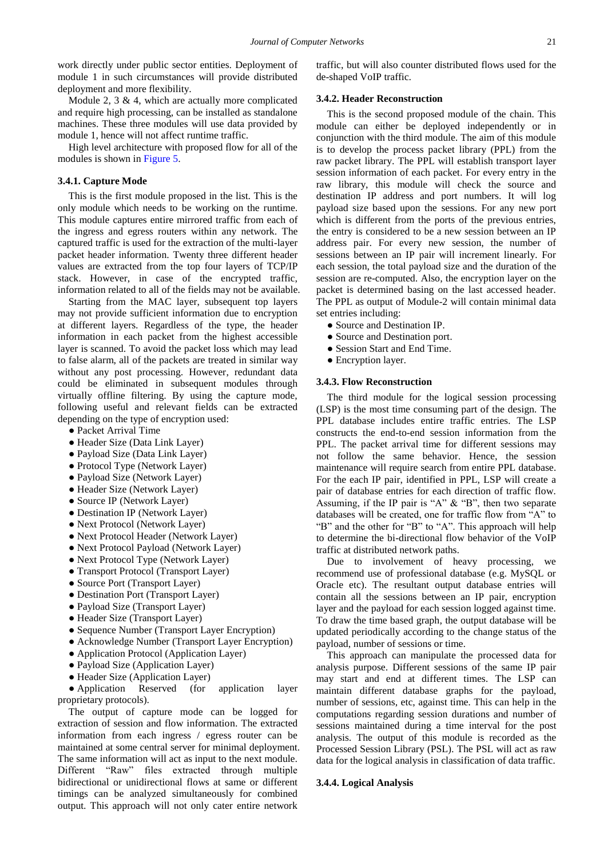work directly under public sector entities. Deployment of module 1 in such circumstances will provide distributed deployment and more flexibility.

Module 2, 3  $\&$  4, which are actually more complicated and require high processing, can be installed as standalone machines. These three modules will use data provided by module 1, hence will not affect runtime traffic.

High level architecture with proposed flow for all of the modules is shown in [Figure 5.](#page-5-0)

#### **3.4.1. Capture Mode**

This is the first module proposed in the list. This is the only module which needs to be working on the runtime. This module captures entire mirrored traffic from each of the ingress and egress routers within any network. The captured traffic is used for the extraction of the multi-layer packet header information. Twenty three different header values are extracted from the top four layers of TCP/IP stack. However, in case of the encrypted traffic, information related to all of the fields may not be available.

Starting from the MAC layer, subsequent top layers may not provide sufficient information due to encryption at different layers. Regardless of the type, the header information in each packet from the highest accessible layer is scanned. To avoid the packet loss which may lead to false alarm, all of the packets are treated in similar way without any post processing. However, redundant data could be eliminated in subsequent modules through virtually offline filtering. By using the capture mode, following useful and relevant fields can be extracted depending on the type of encryption used:

- Packet Arrival Time
- Header Size (Data Link Layer)
- Payload Size (Data Link Layer)
- Protocol Type (Network Layer)
- Payload Size (Network Layer)
- Header Size (Network Layer)
- Source IP (Network Layer)
- Destination IP (Network Layer)
- Next Protocol (Network Layer)
- Next Protocol Header (Network Layer)
- Next Protocol Payload (Network Layer)
- Next Protocol Type (Network Layer)
- Transport Protocol (Transport Layer)
- Source Port (Transport Layer)
- Destination Port (Transport Layer)
- Payload Size (Transport Layer)
- Header Size (Transport Layer)
- Sequence Number (Transport Layer Encryption)
- Acknowledge Number (Transport Layer Encryption)
- Application Protocol (Application Layer)
- Payload Size (Application Layer)
- Header Size (Application Layer)

• Application Reserved (for application layer proprietary protocols).

The output of capture mode can be logged for extraction of session and flow information. The extracted information from each ingress / egress router can be maintained at some central server for minimal deployment. The same information will act as input to the next module. Different "Raw" files extracted through multiple bidirectional or unidirectional flows at same or different timings can be analyzed simultaneously for combined output. This approach will not only cater entire network

traffic, but will also counter distributed flows used for the de-shaped VoIP traffic.

#### **3.4.2. Header Reconstruction**

This is the second proposed module of the chain. This module can either be deployed independently or in conjunction with the third module. The aim of this module is to develop the process packet library (PPL) from the raw packet library. The PPL will establish transport layer session information of each packet. For every entry in the raw library, this module will check the source and destination IP address and port numbers. It will log payload size based upon the sessions. For any new port which is different from the ports of the previous entries, the entry is considered to be a new session between an IP address pair. For every new session, the number of sessions between an IP pair will increment linearly. For each session, the total payload size and the duration of the session are re-computed. Also, the encryption layer on the packet is determined basing on the last accessed header. The PPL as output of Module-2 will contain minimal data set entries including:

- Source and Destination IP.
- Source and Destination port.
- Session Start and End Time.
- Encryption layer.

#### **3.4.3. Flow Reconstruction**

The third module for the logical session processing (LSP) is the most time consuming part of the design. The PPL database includes entire traffic entries. The LSP constructs the end-to-end session information from the PPL. The packet arrival time for different sessions may not follow the same behavior. Hence, the session maintenance will require search from entire PPL database. For the each IP pair, identified in PPL, LSP will create a pair of database entries for each direction of traffic flow. Assuming, if the IP pair is "A" & "B", then two separate databases will be created, one for traffic flow from "A" to "B" and the other for "B" to "A". This approach will help to determine the bi-directional flow behavior of the VoIP traffic at distributed network paths.

Due to involvement of heavy processing, we recommend use of professional database (e.g. MySQL or Oracle etc). The resultant output database entries will contain all the sessions between an IP pair, encryption layer and the payload for each session logged against time. To draw the time based graph, the output database will be updated periodically according to the change status of the payload, number of sessions or time.

This approach can manipulate the processed data for analysis purpose. Different sessions of the same IP pair may start and end at different times. The LSP can maintain different database graphs for the payload, number of sessions, etc, against time. This can help in the computations regarding session durations and number of sessions maintained during a time interval for the post analysis. The output of this module is recorded as the Processed Session Library (PSL). The PSL will act as raw data for the logical analysis in classification of data traffic.

#### **3.4.4. Logical Analysis**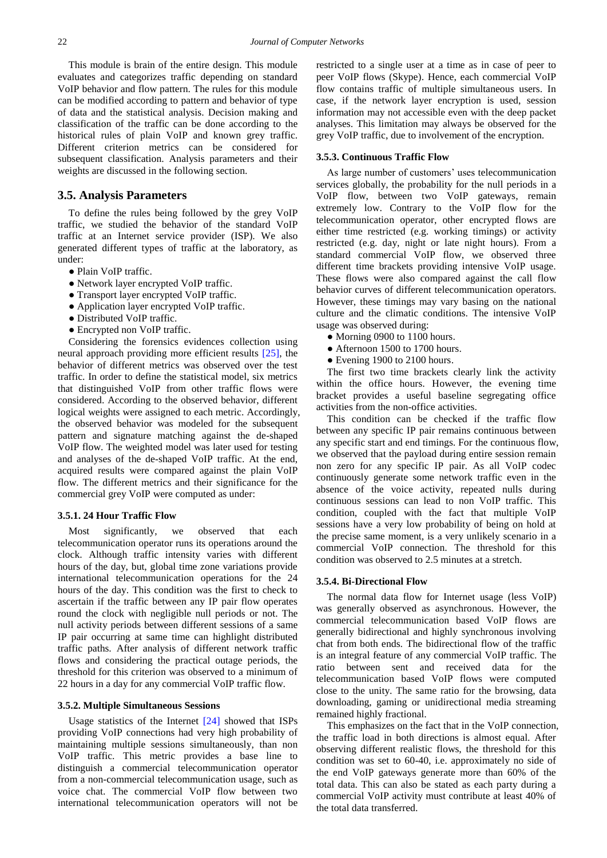This module is brain of the entire design. This module evaluates and categorizes traffic depending on standard VoIP behavior and flow pattern. The rules for this module can be modified according to pattern and behavior of type of data and the statistical analysis. Decision making and classification of the traffic can be done according to the historical rules of plain VoIP and known grey traffic. Different criterion metrics can be considered for subsequent classification. Analysis parameters and their weights are discussed in the following section.

#### **3.5. Analysis Parameters**

To define the rules being followed by the grey VoIP traffic, we studied the behavior of the standard VoIP traffic at an Internet service provider (ISP). We also generated different types of traffic at the laboratory, as under:

- Plain VoIP traffic.
- Network layer encrypted VoIP traffic.
- Transport layer encrypted VoIP traffic.
- Application layer encrypted VoIP traffic.
- Distributed VoIP traffic.
- Encrypted non VoIP traffic.

Considering the forensics evidences collection using neural approach providing more efficient results [\[25\],](#page-12-0) the behavior of different metrics was observed over the test traffic. In order to define the statistical model, six metrics that distinguished VoIP from other traffic flows were considered. According to the observed behavior, different logical weights were assigned to each metric. Accordingly, the observed behavior was modeled for the subsequent pattern and signature matching against the de-shaped VoIP flow. The weighted model was later used for testing and analyses of the de-shaped VoIP traffic. At the end, acquired results were compared against the plain VoIP flow. The different metrics and their significance for the commercial grey VoIP were computed as under:

#### **3.5.1. 24 Hour Traffic Flow**

Most significantly, we observed that each telecommunication operator runs its operations around the clock. Although traffic intensity varies with different hours of the day, but, global time zone variations provide international telecommunication operations for the 24 hours of the day. This condition was the first to check to ascertain if the traffic between any IP pair flow operates round the clock with negligible null periods or not. The null activity periods between different sessions of a same IP pair occurring at same time can highlight distributed traffic paths. After analysis of different network traffic flows and considering the practical outage periods, the threshold for this criterion was observed to a minimum of 22 hours in a day for any commercial VoIP traffic flow.

#### **3.5.2. Multiple Simultaneous Sessions**

Usage statistics of the Internet [\[24\]](#page-11-13) showed that ISPs providing VoIP connections had very high probability of maintaining multiple sessions simultaneously, than non VoIP traffic. This metric provides a base line to distinguish a commercial telecommunication operator from a non-commercial telecommunication usage, such as voice chat. The commercial VoIP flow between two international telecommunication operators will not be restricted to a single user at a time as in case of peer to peer VoIP flows (Skype). Hence, each commercial VoIP flow contains traffic of multiple simultaneous users. In case, if the network layer encryption is used, session information may not accessible even with the deep packet analyses. This limitation may always be observed for the grey VoIP traffic, due to involvement of the encryption.

#### **3.5.3. Continuous Traffic Flow**

As large number of customers' uses telecommunication services globally, the probability for the null periods in a VoIP flow, between two VoIP gateways, remain extremely low. Contrary to the VoIP flow for the telecommunication operator, other encrypted flows are either time restricted (e.g. working timings) or activity restricted (e.g. day, night or late night hours). From a standard commercial VoIP flow, we observed three different time brackets providing intensive VoIP usage. These flows were also compared against the call flow behavior curves of different telecommunication operators. However, these timings may vary basing on the national culture and the climatic conditions. The intensive VoIP usage was observed during:

- Morning 0900 to 1100 hours.
- Afternoon 1500 to 1700 hours.
- Evening 1900 to 2100 hours.

The first two time brackets clearly link the activity within the office hours. However, the evening time bracket provides a useful baseline segregating office activities from the non-office activities.

This condition can be checked if the traffic flow between any specific IP pair remains continuous between any specific start and end timings. For the continuous flow, we observed that the payload during entire session remain non zero for any specific IP pair. As all VoIP codec continuously generate some network traffic even in the absence of the voice activity, repeated nulls during continuous sessions can lead to non VoIP traffic. This condition, coupled with the fact that multiple VoIP sessions have a very low probability of being on hold at the precise same moment, is a very unlikely scenario in a commercial VoIP connection. The threshold for this condition was observed to 2.5 minutes at a stretch.

#### **3.5.4. Bi-Directional Flow**

The normal data flow for Internet usage (less VoIP) was generally observed as asynchronous. However, the commercial telecommunication based VoIP flows are generally bidirectional and highly synchronous involving chat from both ends. The bidirectional flow of the traffic is an integral feature of any commercial VoIP traffic. The ratio between sent and received data for the telecommunication based VoIP flows were computed close to the unity. The same ratio for the browsing, data downloading, gaming or unidirectional media streaming remained highly fractional.

This emphasizes on the fact that in the VoIP connection, the traffic load in both directions is almost equal. After observing different realistic flows, the threshold for this condition was set to 60-40, i.e. approximately no side of the end VoIP gateways generate more than 60% of the total data. This can also be stated as each party during a commercial VoIP activity must contribute at least 40% of the total data transferred.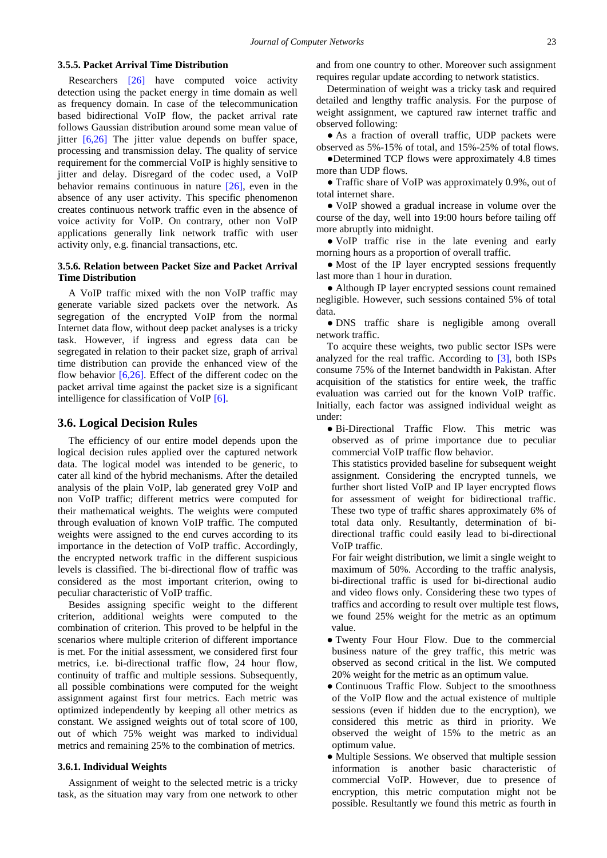#### **3.5.5. Packet Arrival Time Distribution**

Researchers [\[26\]](#page-12-1) have computed voice activity detection using the packet energy in time domain as well as frequency domain. In case of the telecommunication based bidirectional VoIP flow, the packet arrival rate follows Gaussian distribution around some mean value of jitter  $[6,26]$  The jitter value depends on buffer space, processing and transmission delay. The quality of service requirement for the commercial VoIP is highly sensitive to jitter and delay. Disregard of the codec used, a VoIP behavior remains continuous in nature [\[26\],](#page-12-1) even in the absence of any user activity. This specific phenomenon creates continuous network traffic even in the absence of voice activity for VoIP. On contrary, other non VoIP applications generally link network traffic with user activity only, e.g. financial transactions, etc.

#### **3.5.6. Relation between Packet Size and Packet Arrival Time Distribution**

A VoIP traffic mixed with the non VoIP traffic may generate variable sized packets over the network. As segregation of the encrypted VoIP from the normal Internet data flow, without deep packet analyses is a tricky task. However, if ingress and egress data can be segregated in relation to their packet size, graph of arrival time distribution can provide the enhanced view of the flow behavior [\[6,26\].](#page-11-5) Effect of the different codec on the packet arrival time against the packet size is a significant intelligence for classification of VoIP [\[6\].](#page-11-5)

#### **3.6. Logical Decision Rules**

The efficiency of our entire model depends upon the logical decision rules applied over the captured network data. The logical model was intended to be generic, to cater all kind of the hybrid mechanisms. After the detailed analysis of the plain VoIP, lab generated grey VoIP and non VoIP traffic; different metrics were computed for their mathematical weights. The weights were computed through evaluation of known VoIP traffic. The computed weights were assigned to the end curves according to its importance in the detection of VoIP traffic. Accordingly, the encrypted network traffic in the different suspicious levels is classified. The bi-directional flow of traffic was considered as the most important criterion, owing to peculiar characteristic of VoIP traffic.

Besides assigning specific weight to the different criterion, additional weights were computed to the combination of criterion. This proved to be helpful in the scenarios where multiple criterion of different importance is met. For the initial assessment, we considered first four metrics, i.e. bi-directional traffic flow, 24 hour flow, continuity of traffic and multiple sessions. Subsequently, all possible combinations were computed for the weight assignment against first four metrics. Each metric was optimized independently by keeping all other metrics as constant. We assigned weights out of total score of 100, out of which 75% weight was marked to individual metrics and remaining 25% to the combination of metrics.

#### **3.6.1. Individual Weights**

Assignment of weight to the selected metric is a tricky task, as the situation may vary from one network to other and from one country to other. Moreover such assignment requires regular update according to network statistics.

Determination of weight was a tricky task and required detailed and lengthy traffic analysis. For the purpose of weight assignment, we captured raw internet traffic and observed following:

• As a fraction of overall traffic, UDP packets were observed as 5%-15% of total, and 15%-25% of total flows.

●Determined TCP flows were approximately 4.8 times more than UDP flows.

● Traffic share of VoIP was approximately 0.9%, out of total internet share.

• VoIP showed a gradual increase in volume over the course of the day, well into 19:00 hours before tailing off more abruptly into midnight.

● VoIP traffic rise in the late evening and early morning hours as a proportion of overall traffic.

• Most of the IP layer encrypted sessions frequently last more than 1 hour in duration.

● Although IP layer encrypted sessions count remained negligible. However, such sessions contained 5% of total data.

● DNS traffic share is negligible among overall network traffic.

To acquire these weights, two public sector ISPs were analyzed for the real traffic. According to [\[3\],](#page-11-2) both ISPs consume 75% of the Internet bandwidth in Pakistan. After acquisition of the statistics for entire week, the traffic evaluation was carried out for the known VoIP traffic. Initially, each factor was assigned individual weight as under:

● Bi-Directional Traffic Flow. This metric was observed as of prime importance due to peculiar commercial VoIP traffic flow behavior.

This statistics provided baseline for subsequent weight assignment. Considering the encrypted tunnels, we further short listed VoIP and IP layer encrypted flows for assessment of weight for bidirectional traffic. These two type of traffic shares approximately 6% of total data only. Resultantly, determination of bidirectional traffic could easily lead to bi-directional VoIP traffic.

For fair weight distribution, we limit a single weight to maximum of 50%. According to the traffic analysis, bi-directional traffic is used for bi-directional audio and video flows only. Considering these two types of traffics and according to result over multiple test flows, we found 25% weight for the metric as an optimum value.

- Twenty Four Hour Flow. Due to the commercial business nature of the grey traffic, this metric was observed as second critical in the list. We computed 20% weight for the metric as an optimum value.
- Continuous Traffic Flow. Subject to the smoothness of the VoIP flow and the actual existence of multiple sessions (even if hidden due to the encryption), we considered this metric as third in priority. We observed the weight of 15% to the metric as an optimum value.
- Multiple Sessions. We observed that multiple session information is another basic characteristic of commercial VoIP. However, due to presence of encryption, this metric computation might not be possible. Resultantly we found this metric as fourth in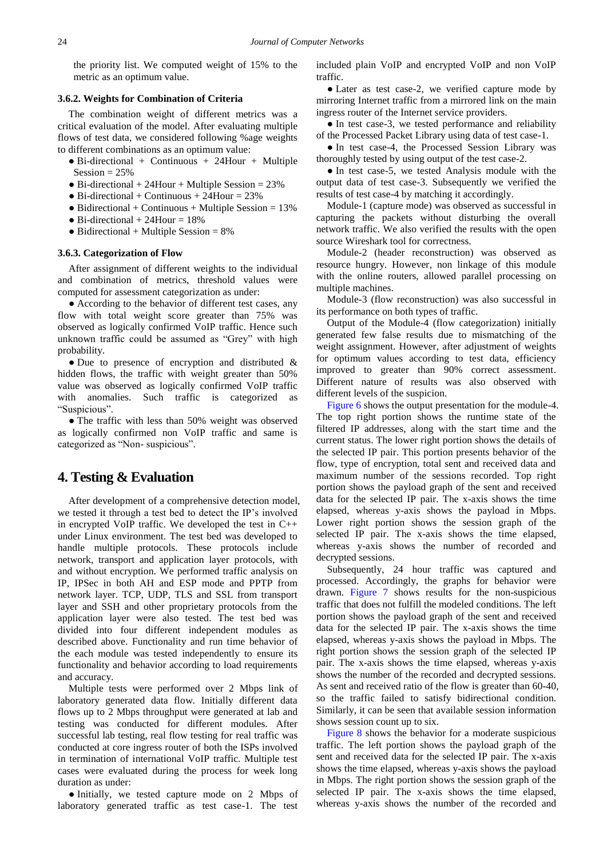the priority list. We computed weight of 15% to the metric as an optimum value.

#### **3.6.2. Weights for Combination of Criteria**

The combination weight of different metrics was a critical evaluation of the model. After evaluating multiple flows of test data, we considered following %age weights to different combinations as an optimum value:

- $\bullet$  Bi-directional + Continuous + 24Hour + Multiple Session  $= 25\%$
- $\bullet$  Bi-directional + 24Hour + Multiple Session = 23%
- $\bullet$  Bi-directional + Continuous + 24Hour = 23%
- $\bullet$  Bidirectional + Continuous + Multiple Session = 13%
- $\bullet$  Bi-directional + 24Hour = 18%
- $\bullet$  Bidirectional + Multiple Session = 8%

#### **3.6.3. Categorization of Flow**

After assignment of different weights to the individual and combination of metrics, threshold values were computed for assessment categorization as under:

● According to the behavior of different test cases, any flow with total weight score greater than 75% was observed as logically confirmed VoIP traffic. Hence such unknown traffic could be assumed as "Grey" with high probability.

● Due to presence of encryption and distributed & hidden flows, the traffic with weight greater than 50% value was observed as logically confirmed VoIP traffic with anomalies. Such traffic is categorized as "Suspicious".

• The traffic with less than 50% weight was observed as logically confirmed non VoIP traffic and same is categorized as "Non- suspicious".

## **4. Testing & Evaluation**

After development of a comprehensive detection model, we tested it through a test bed to detect the IP's involved in encrypted VoIP traffic. We developed the test in C++ under Linux environment. The test bed was developed to handle multiple protocols. These protocols include network, transport and application layer protocols, with and without encryption. We performed traffic analysis on IP, IPSec in both AH and ESP mode and PPTP from network layer. TCP, UDP, TLS and SSL from transport layer and SSH and other proprietary protocols from the application layer were also tested. The test bed was divided into four different independent modules as described above. Functionality and run time behavior of the each module was tested independently to ensure its functionality and behavior according to load requirements and accuracy.

Multiple tests were performed over 2 Mbps link of laboratory generated data flow. Initially different data flows up to 2 Mbps throughput were generated at lab and testing was conducted for different modules. After successful lab testing, real flow testing for real traffic was conducted at core ingress router of both the ISPs involved in termination of international VoIP traffic. Multiple test cases were evaluated during the process for week long duration as under:

• Initially, we tested capture mode on 2 Mbps of laboratory generated traffic as test case-1. The test included plain VoIP and encrypted VoIP and non VoIP traffic.

• Later as test case-2, we verified capture mode by mirroring Internet traffic from a mirrored link on the main ingress router of the Internet service providers.

• In test case-3, we tested performance and reliability of the Processed Packet Library using data of test case-1.

● In test case-4, the Processed Session Library was thoroughly tested by using output of the test case-2.

● In test case-5, we tested Analysis module with the output data of test case-3. Subsequently we verified the results of test case-4 by matching it accordingly.

Module-1 (capture mode) was observed as successful in capturing the packets without disturbing the overall network traffic. We also verified the results with the open source Wireshark tool for correctness.

Module-2 (header reconstruction) was observed as resource hungry. However, non linkage of this module with the online routers, allowed parallel processing on multiple machines.

Module-3 (flow reconstruction) was also successful in its performance on both types of traffic.

Output of the Module-4 (flow categorization) initially generated few false results due to mismatching of the weight assignment. However, after adjustment of weights for optimum values according to test data, efficiency improved to greater than 90% correct assessment. Different nature of results was also observed with different levels of the suspicion.

[Figure 6](#page-10-0) shows the output presentation for the module-4. The top right portion shows the runtime state of the filtered IP addresses, along with the start time and the current status. The lower right portion shows the details of the selected IP pair. This portion presents behavior of the flow, type of encryption, total sent and received data and maximum number of the sessions recorded. Top right portion shows the payload graph of the sent and received data for the selected IP pair. The x-axis shows the time elapsed, whereas y-axis shows the payload in Mbps. Lower right portion shows the session graph of the selected IP pair. The x-axis shows the time elapsed, whereas y-axis shows the number of recorded and decrypted sessions.

Subsequently, 24 hour traffic was captured and processed. Accordingly, the graphs for behavior were drawn. [Figure 7](#page-10-1) shows results for the non-suspicious traffic that does not fulfill the modeled conditions. The left portion shows the payload graph of the sent and received data for the selected IP pair. The x-axis shows the time elapsed, whereas y-axis shows the payload in Mbps. The right portion shows the session graph of the selected IP pair. The x-axis shows the time elapsed, whereas y-axis shows the number of the recorded and decrypted sessions. As sent and received ratio of the flow is greater than 60-40, so the traffic failed to satisfy bidirectional condition. Similarly, it can be seen that available session information shows session count up to six.

[Figure 8](#page-10-2) shows the behavior for a moderate suspicious traffic. The left portion shows the payload graph of the sent and received data for the selected IP pair. The x-axis shows the time elapsed, whereas y-axis shows the payload in Mbps. The right portion shows the session graph of the selected IP pair. The x-axis shows the time elapsed, whereas y-axis shows the number of the recorded and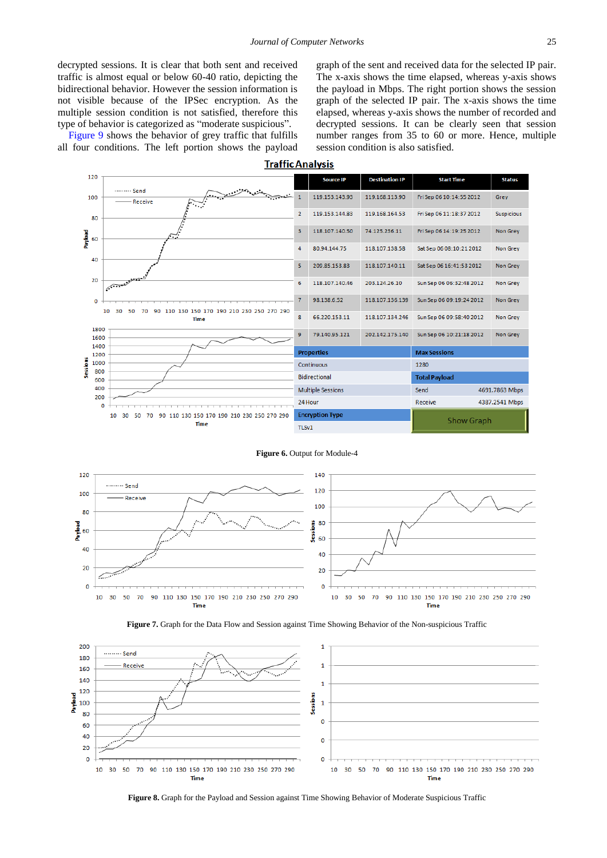decrypted sessions. It is clear that both sent and received traffic is almost equal or below 60-40 ratio, depicting the bidirectional behavior. However the session information is not visible because of the IPSec encryption. As the multiple session condition is not satisfied, therefore this type of behavior is categorized as "moderate suspicious".

<span id="page-10-0"></span>[Figure 9](#page-11-19) shows the behavior of grey traffic that fulfills all four conditions. The left portion shows the payload graph of the sent and received data for the selected IP pair. The x-axis shows the time elapsed, whereas y-axis shows the payload in Mbps. The right portion shows the session graph of the selected IP pair. The x-axis shows the time elapsed, whereas y-axis shows the number of recorded and decrypted sessions. It can be clearly seen that session number ranges from 35 to 60 or more. Hence, multiple session condition is also satisfied.

**Traffic Analysis** 



#### **Figure 6.** Output for Module-4

<span id="page-10-1"></span>



<span id="page-10-2"></span>

**Figure 8.** Graph for the Payload and Session against Time Showing Behavior of Moderate Suspicious Traffic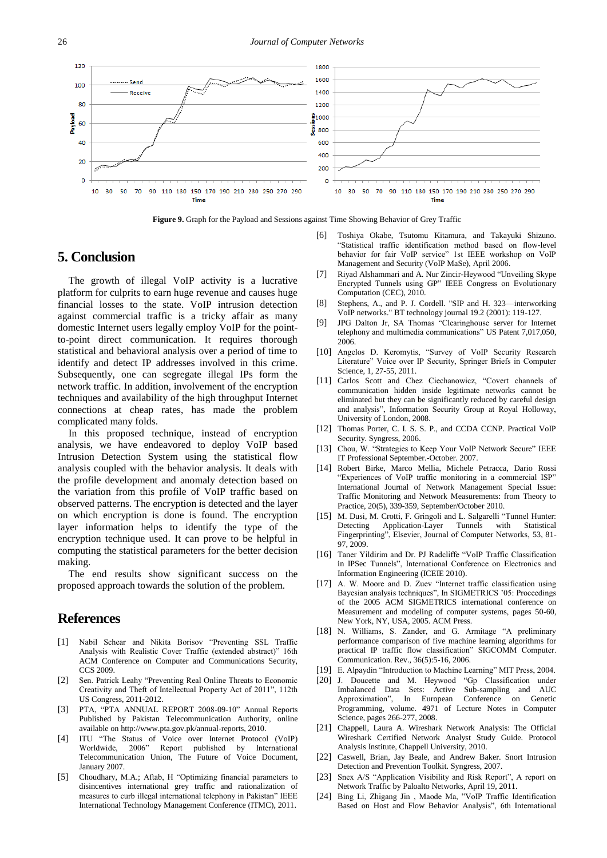<span id="page-11-19"></span>

**Figure 9.** Graph for the Payload and Sessions against Time Showing Behavior of Grey Traffic

# **5. Conclusion**

The growth of illegal VoIP activity is a lucrative platform for culprits to earn huge revenue and causes huge financial losses to the state. VoIP intrusion detection against commercial traffic is a tricky affair as many domestic Internet users legally employ VoIP for the pointto-point direct communication. It requires thorough statistical and behavioral analysis over a period of time to identify and detect IP addresses involved in this crime. Subsequently, one can segregate illegal IPs form the network traffic. In addition, involvement of the encryption techniques and availability of the high throughput Internet connections at cheap rates, has made the problem complicated many folds.

In this proposed technique, instead of encryption analysis, we have endeavored to deploy VoIP based Intrusion Detection System using the statistical flow analysis coupled with the behavior analysis. It deals with the profile development and anomaly detection based on the variation from this profile of VoIP traffic based on observed patterns. The encryption is detected and the layer on which encryption is done is found. The encryption layer information helps to identify the type of the encryption technique used. It can prove to be helpful in computing the statistical parameters for the better decision making.

The end results show significant success on the proposed approach towards the solution of the problem.

## **References**

- <span id="page-11-0"></span>[1] Nabil Schear and Nikita Borisov "Preventing SSL Traffic Analysis with Realistic Cover Traffic (extended abstract)" 16th ACM Conference on Computer and Communications Security, CCS 2009.
- <span id="page-11-1"></span>[2] Sen. Patrick Leahy "Preventing Real Online Threats to Economic Creativity and Theft of Intellectual Property Act of 2011", 112th US Congress, 2011-2012.
- <span id="page-11-2"></span>[3] PTA, "PTA ANNUAL REPORT 2008-09-10" Annual Reports Published by Pakistan Telecommunication Authority, online available on http://www.pta.gov.pk/annual-reports, 2010.
- <span id="page-11-3"></span>[4] ITU "The Status of Voice over Internet Protocol (VoIP) Worldwide, 2006" Report published by International Telecommunication Union, The Future of Voice Document, January 2007.
- <span id="page-11-4"></span>[5] Choudhary, M.A.; Aftab, H "Optimizing financial parameters to disincentives international grey traffic and rationalization of measures to curb illegal international telephony in Pakistan" IEEE International Technology Management Conference (ITMC), 2011.
- <span id="page-11-5"></span>[6] Toshiya Okabe, Tsutomu Kitamura, and Takayuki Shizuno. "Statistical traffic identification method based on flow-level behavior for fair VoIP service" 1st IEEE workshop on VoIP Management and Security (VoIP MaSe), April 2006.
- <span id="page-11-6"></span>[7] Riyad Alshammari and A. Nur Zincir-Heywood "Unveiling Skype Encrypted Tunnels using GP" IEEE Congress on Evolutionary Computation (CEC), 2010.
- <span id="page-11-7"></span>[8] Stephens, A., and P. J. Cordell. "SIP and H. 323—interworking VoIP networks." BT technology journal 19.2 (2001): 119-127.
- <span id="page-11-8"></span>[9] JPG Dalton Jr, SA Thomas "Clearinghouse server for Internet telephony and multimedia communications" US Patent 7,017,050, 2006.
- <span id="page-11-9"></span>[10] Angelos D. Keromytis, "Survey of VoIP Security Research Literature" Voice over IP Security, Springer Briefs in Computer Science, 1, 27-55, 2011.
- <span id="page-11-10"></span>[11] Carlos Scott and Chez Ciechanowicz, "Covert channels of communication hidden inside legitimate networks cannot be eliminated but they can be significantly reduced by careful design and analysis", Information Security Group at Royal Holloway, University of London, 2008.
- [12] Thomas Porter, C. I. S. S. P., and CCDA CCNP. Practical VoIP Security. Syngress, 2006.
- <span id="page-11-11"></span>[13] Chou, W. "Strategies to Keep Your VoIP Network Secure" IEEE IT Professional September.-October. 2007.
- [14] Robert Birke, Marco Mellia, Michele Petracca, Dario Rossi "Experiences of VoIP traffic monitoring in a commercial ISP" International Journal of Network Management Special Issue: Traffic Monitoring and Network Measurements: from Theory to Practice, 20(5), 339-359, September/October 2010.
- <span id="page-11-12"></span>[15] M. Dusi, M. Crotti, F. Gringoli and L. Salgarelli "Tunnel Hunter: Detecting Application-Layer Tunnels with Statistical Fingerprinting", Elsevier, Journal of Computer Networks, 53, 81- 97, 2009.
- <span id="page-11-16"></span>[16] Taner Yildirim and Dr. PJ Radcliffe "VoIP Traffic Classification in IPSec Tunnels", International Conference on Electronics and Information Engineering (ICEIE 2010).
- <span id="page-11-17"></span>[17] A. W. Moore and D. Zuev "Internet traffic classification using Bayesian analysis techniques", In SIGMETRICS '05: Proceedings of the 2005 ACM SIGMETRICS international conference on Measurement and modeling of computer systems, pages 50-60, New York, NY, USA, 2005. ACM Press.
- [18] N. Williams, S. Zander, and G. Armitage "A preliminary performance comparison of five machine learning algorithms for practical IP traffic flow classification" SIGCOMM Computer. Communication. Rev., 36(5):5-16, 2006.
- [19] E. Alpaydin "Introduction to Machine Learning" MIT Press, 2004.
- [20] J. Doucette and M. Heywood "Gp Classification under Imbalanced Data Sets: Active Approximation", In European Conference on Genetic Programming, volume. 4971 of Lecture Notes in Computer Science, pages 266-277, 2008.
- <span id="page-11-14"></span>[21] Chappell, Laura A. Wireshark Network Analysis: The Official Wireshark Certified Network Analyst Study Guide. Protocol Analysis Institute, Chappell University, 2010.
- <span id="page-11-15"></span>[22] Caswell, Brian, Jay Beale, and Andrew Baker. Snort Intrusion Detection and Prevention Toolkit. Syngress, 2007.
- <span id="page-11-18"></span>[23] Snex A/S "Application Visibility and Risk Report", A report on Network Traffic by Paloalto Networks, April 19, 2011.
- <span id="page-11-13"></span>[24] Bing Li, Zhigang Jin , Maode Ma, "VoIP Traffic Identification Based on Host and Flow Behavior Analysis", 6th International